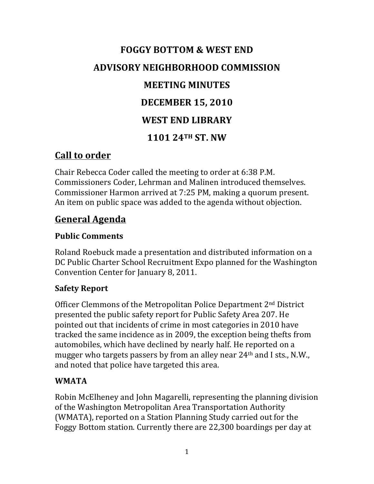# **FOGGY BOTTOM & WEST END ADVISORY NEIGHBORHOOD COMMISSION MEETING MINUTES DECEMBER 15, 2010 WEST END LIBRARY 1101 24TH ST. NW**

## **Call to order**

Chair Rebecca Coder called the meeting to order at 6:38 P.M. Commissioners Coder, Lehrman and Malinen introduced themselves. Commissioner Harmon arrived at 7:25 PM, making a quorum present. An item on public space was added to the agenda without objection.

## **General Agenda**

### **Public Comments**

Roland Roebuck made a presentation and distributed information on a DC Public Charter School Recruitment Expo planned for the Washington Convention Center for January 8, 2011.

#### **Safety Report**

Officer Clemmons of the Metropolitan Police Department 2<sup>nd</sup> District presented the public safety report for Public Safety Area 207. He pointed out that incidents of crime in most categories in 2010 have tracked the same incidence as in 2009, the exception being thefts from automobiles, which have declined by nearly half. He reported on a mugger who targets passers by from an alley near 24<sup>th</sup> and I sts., N.W., and noted that police have targeted this area.

#### **WMATA**

Robin McElheney and John Magarelli, representing the planning division of the Washington Metropolitan Area Transportation Authority (WMATA), reported on a Station Planning Study carried out for the Foggy Bottom station. Currently there are 22,300 boardings per day at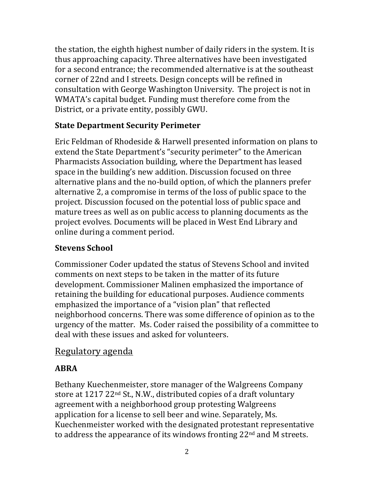the station, the eighth highest number of daily riders in the system. It is thus approaching capacity. Three alternatives have been investigated for a second entrance; the recommended alternative is at the southeast corner of 22nd and I streets. Design concepts will be refined in consultation with George Washington University. The project is not in WMATA's capital budget. Funding must therefore come from the District, or a private entity, possibly GWU.

#### **State Department Security Perimeter**

Eric Feldman of Rhodeside & Harwell presented information on plans to extend the State Department's "security perimeter" to the American Pharmacists Association building, where the Department has leased space in the building's new addition. Discussion focused on three alternative plans and the no-build option, of which the planners prefer alternative 2, a compromise in terms of the loss of public space to the project. Discussion focused on the potential loss of public space and mature trees as well as on public access to planning documents as the project evolves. Documents will be placed in West End Library and online during a comment period.

#### **Stevens School**

Commissioner Coder updated the status of Stevens School and invited comments on next steps to be taken in the matter of its future development. Commissioner Malinen emphasized the importance of retaining the building for educational purposes. Audience comments emphasized the importance of a "vision plan" that reflected neighborhood concerns. There was some difference of opinion as to the urgency of the matter. Ms. Coder raised the possibility of a committee to deal with these issues and asked for volunteers.

#### Regulatory agenda

## **ABRA**

Bethany Kuechenmeister, store manager of the Walgreens Company store at  $1217 22<sup>nd</sup>$  St., N.W., distributed copies of a draft voluntary agreement with a neighborhood group protesting Walgreens application for a license to sell beer and wine. Separately, Ms. Kuechenmeister worked with the designated protestant representative to address the appearance of its windows fronting  $22<sup>nd</sup>$  and M streets.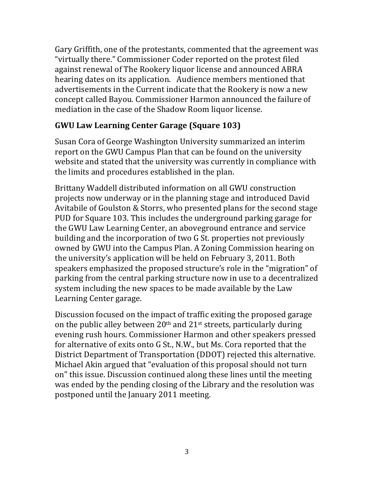Gary Griffith, one of the protestants, commented that the agreement was "virtually there." Commissioner Coder reported on the protest filed against renewal of The Rookery liquor license and announced ABRA hearing dates on its application. Audience members mentioned that advertisements in the Current indicate that the Rookery is now a new concept called Bayou. Commissioner Harmon announced the failure of mediation in the case of the Shadow Room liquor license.

#### **GWU Law Learning Center Garage (Square 103)**

Susan Cora of George Washington University summarized an interim report on the GWU Campus Plan that can be found on the university website and stated that the university was currently in compliance with the limits and procedures established in the plan.

Brittany Waddell distributed information on all GWU construction projects now underway or in the planning stage and introduced David Avitabile of Goulston & Storrs, who presented plans for the second stage PUD for Square 103. This includes the underground parking garage for the GWU Law Learning Center, an aboveground entrance and service building and the incorporation of two G St. properties not previously owned by GWU into the Campus Plan. A Zoning Commission hearing on the university's application will be held on February 3, 2011. Both speakers emphasized the proposed structure's role in the "migration" of parking from the central parking structure now in use to a decentralized system including the new spaces to be made available by the Law Learning Center garage.

Discussion focused on the impact of traffic exiting the proposed garage on the public alley between  $20<sup>th</sup>$  and  $21<sup>st</sup>$  streets, particularly during evening rush hours. Commissioner Harmon and other speakers pressed for alternative of exits onto G St., N.W., but Ms. Cora reported that the District Department of Transportation (DDOT) rejected this alternative. Michael Akin argued that "evaluation of this proposal should not turn on" this issue. Discussion continued along these lines until the meeting was ended by the pending closing of the Library and the resolution was postponed until the January 2011 meeting.